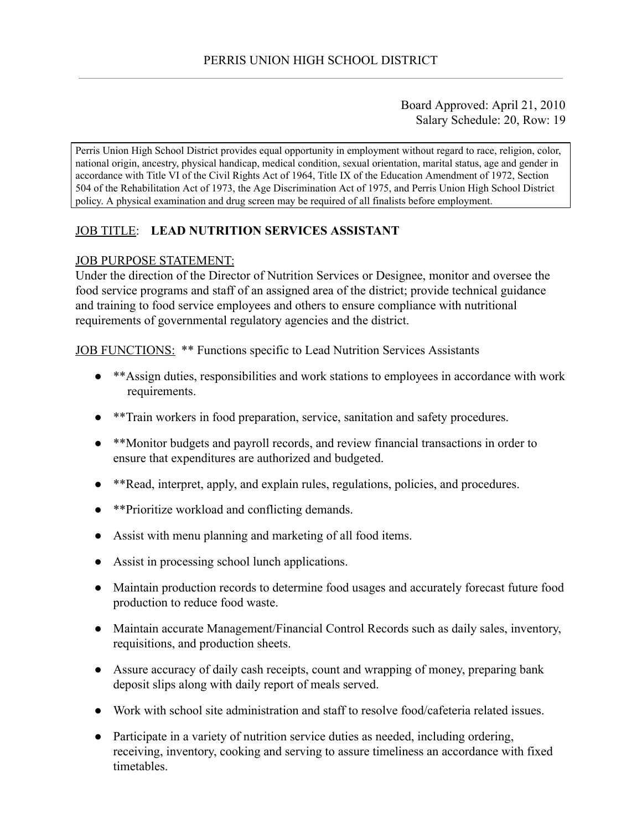### Board Approved: April 21, 2010 Salary Schedule: 20, Row: 19

Perris Union High School District provides equal opportunity in employment without regard to race, religion, color, national origin, ancestry, physical handicap, medical condition, sexual orientation, marital status, age and gender in accordance with Title VI of the Civil Rights Act of 1964, Title IX of the Education Amendment of 1972, Section 504 of the Rehabilitation Act of 1973, the Age Discrimination Act of 1975, and Perris Union High School District policy. A physical examination and drug screen may be required of all finalists before employment.

# JOB TITLE: LEAD NUTRITION SERVICES ASSISTANT

#### JOB PURPOSE STATEMENT:

Under the direction of the Director of Nutrition Services or Designee, monitor and oversee the food service programs and staff of an assigned area of the district; provide technical guidance and training to food service employees and others to ensure compliance with nutritional requirements of governmental regulatory agencies and the district.

JOB FUNCTIONS: \*\* Functions specific to Lead Nutrition Services Assistants

- \*\*Assign duties, responsibilities and work stations to employees in accordance with work requirements.
- \*\*Train workers in food preparation, service, sanitation and safety procedures.
- \*\*Monitor budgets and payroll records, and review financial transactions in order to ensure that expenditures are authorized and budgeted.
- \*\*Read, interpret, apply, and explain rules, regulations, policies, and procedures.
- \*\*Prioritize workload and conflicting demands.
- Assist with menu planning and marketing of all food items.
- Assist in processing school lunch applications.
- Maintain production records to determine food usages and accurately forecast future food production to reduce food waste.
- Maintain accurate Management/Financial Control Records such as daily sales, inventory, requisitions, and production sheets.
- Assure accuracy of daily cash receipts, count and wrapping of money, preparing bank deposit slips along with daily report of meals served.
- Work with school site administration and staff to resolve food/cafeteria related issues.
- Participate in a variety of nutrition service duties as needed, including ordering, receiving, inventory, cooking and serving to assure timeliness an accordance with fixed timetables.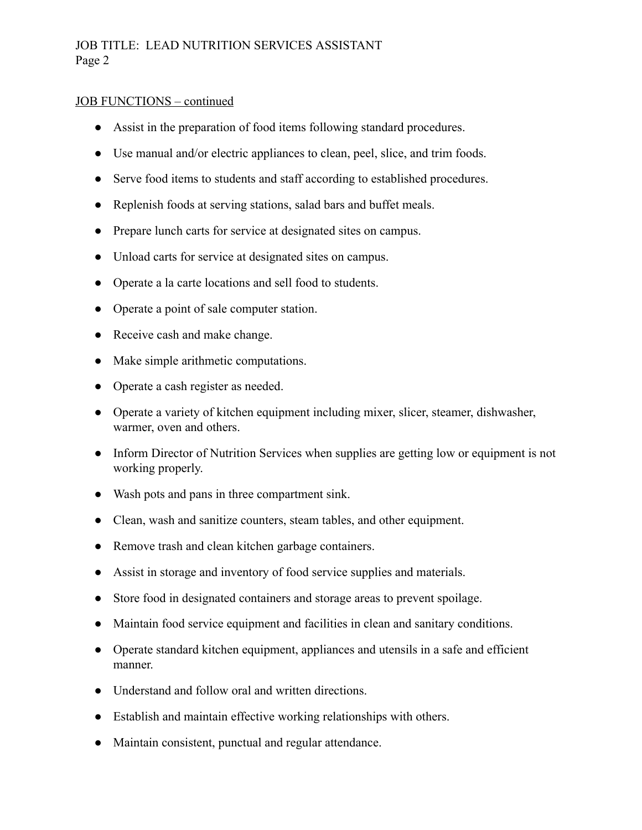### JOB FUNCTIONS – continued

- Assist in the preparation of food items following standard procedures.
- Use manual and/or electric appliances to clean, peel, slice, and trim foods.
- Serve food items to students and staff according to established procedures.
- Replenish foods at serving stations, salad bars and buffet meals.
- Prepare lunch carts for service at designated sites on campus.
- Unload carts for service at designated sites on campus.
- Operate a la carte locations and sell food to students.
- Operate a point of sale computer station.
- Receive cash and make change.
- Make simple arithmetic computations.
- Operate a cash register as needed.
- Operate a variety of kitchen equipment including mixer, slicer, steamer, dishwasher, warmer, oven and others.
- Inform Director of Nutrition Services when supplies are getting low or equipment is not working properly.
- Wash pots and pans in three compartment sink.
- Clean, wash and sanitize counters, steam tables, and other equipment.
- Remove trash and clean kitchen garbage containers.
- Assist in storage and inventory of food service supplies and materials.
- Store food in designated containers and storage areas to prevent spoilage.
- Maintain food service equipment and facilities in clean and sanitary conditions.
- Operate standard kitchen equipment, appliances and utensils in a safe and efficient manner.
- Understand and follow oral and written directions.
- Establish and maintain effective working relationships with others.
- Maintain consistent, punctual and regular attendance.